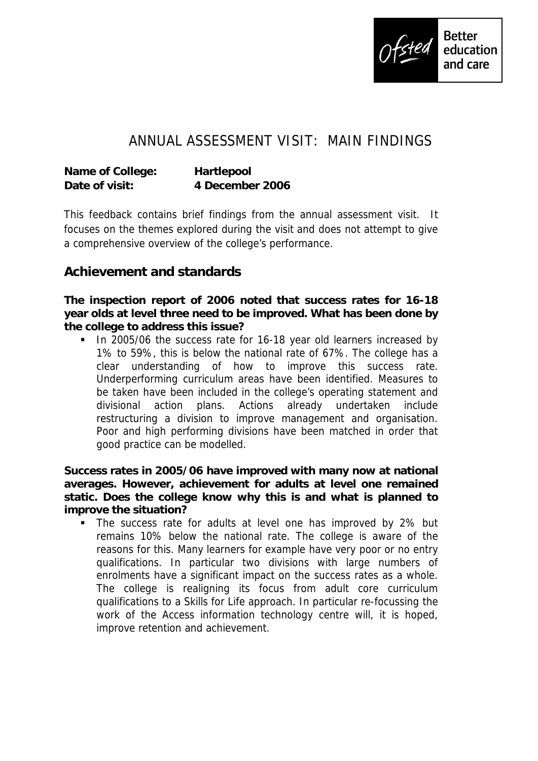

## ANNUAL ASSESSMENT VISIT: MAIN FINDINGS

| Name of College: | Hartlepool      |
|------------------|-----------------|
| Date of visit:   | 4 December 2006 |

This feedback contains brief findings from the annual assessment visit. It focuses on the themes explored during the visit and does not attempt to give a comprehensive overview of the college's performance.

## **Achievement and standards**

**The inspection report of 2006 noted that success rates for 16-18 year olds at level three need to be improved. What has been done by the college to address this issue?**

In 2005/06 the success rate for 16-18 year old learners increased by 1% to 59%, this is below the national rate of 67%. The college has a clear understanding of how to improve this success rate. Underperforming curriculum areas have been identified. Measures to be taken have been included in the college's operating statement and divisional action plans. Actions already undertaken include restructuring a division to improve management and organisation. Poor and high performing divisions have been matched in order that good practice can be modelled.

**Success rates in 2005/06 have improved with many now at national averages. However, achievement for adults at level one remained static. Does the college know why this is and what is planned to improve the situation?** 

• The success rate for adults at level one has improved by 2% but remains 10% below the national rate. The college is aware of the reasons for this. Many learners for example have very poor or no entry qualifications. In particular two divisions with large numbers of enrolments have a significant impact on the success rates as a whole. The college is realigning its focus from adult core curriculum qualifications to a Skills for Life approach. In particular re-focussing the work of the Access information technology centre will, it is hoped, improve retention and achievement.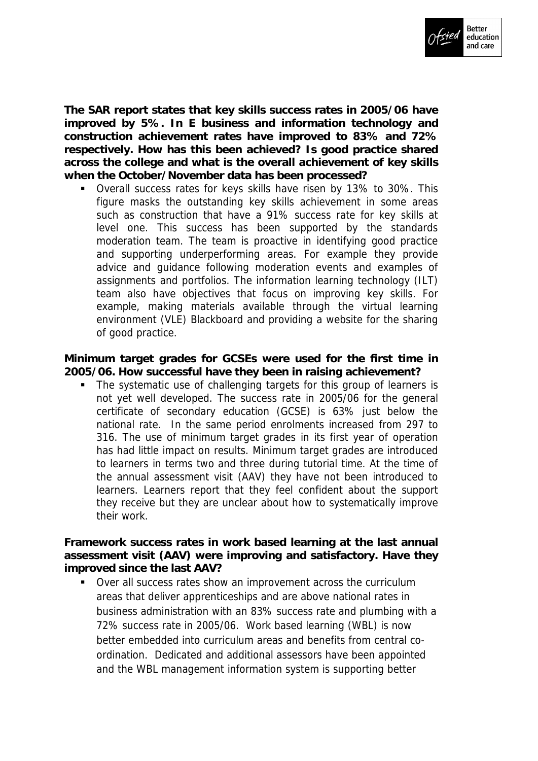

**The SAR report states that key skills success rates in 2005/06 have improved by 5%. In E business and information technology and construction achievement rates have improved to 83% and 72% respectively. How has this been achieved? Is good practice shared across the college and what is the overall achievement of key skills when the October/November data has been processed?**

 Overall success rates for keys skills have risen by 13% to 30%. This figure masks the outstanding key skills achievement in some areas such as construction that have a 91% success rate for key skills at level one. This success has been supported by the standards moderation team. The team is proactive in identifying good practice and supporting underperforming areas. For example they provide advice and guidance following moderation events and examples of assignments and portfolios. The information learning technology (ILT) team also have objectives that focus on improving key skills. For example, making materials available through the virtual learning environment (VLE) Blackboard and providing a website for the sharing of good practice.

**Minimum target grades for GCSEs were used for the first time in 2005/06. How successful have they been in raising achievement?**

 The systematic use of challenging targets for this group of learners is not yet well developed. The success rate in 2005/06 for the general certificate of secondary education (GCSE) is 63% just below the national rate. In the same period enrolments increased from 297 to 316. The use of minimum target grades in its first year of operation has had little impact on results. Minimum target grades are introduced to learners in terms two and three during tutorial time. At the time of the annual assessment visit (AAV) they have not been introduced to learners. Learners report that they feel confident about the support they receive but they are unclear about how to systematically improve their work.

**Framework success rates in work based learning at the last annual assessment visit (AAV) were improving and satisfactory. Have they improved since the last AAV?**

 Over all success rates show an improvement across the curriculum areas that deliver apprenticeships and are above national rates in business administration with an 83% success rate and plumbing with a 72% success rate in 2005/06. Work based learning (WBL) is now better embedded into curriculum areas and benefits from central coordination. Dedicated and additional assessors have been appointed and the WBL management information system is supporting better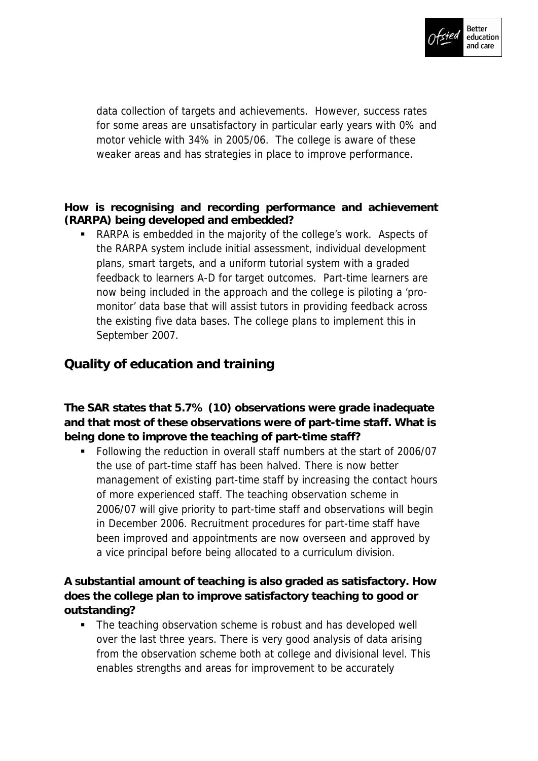

data collection of targets and achievements. However, success rates for some areas are unsatisfactory in particular early years with 0% and motor vehicle with 34% in 2005/06. The college is aware of these weaker areas and has strategies in place to improve performance.

**How is recognising and recording performance and achievement (RARPA) being developed and embedded?**

 RARPA is embedded in the majority of the college's work. Aspects of the RARPA system include initial assessment, individual development plans, smart targets, and a uniform tutorial system with a graded feedback to learners A-D for target outcomes. Part-time learners are now being included in the approach and the college is piloting a 'promonitor' data base that will assist tutors in providing feedback across the existing five data bases. The college plans to implement this in September 2007.

## **Quality of education and training**

**The SAR states that 5.7% (10) observations were grade inadequate and that most of these observations were of part-time staff. What is being done to improve the teaching of part-time staff?** 

Following the reduction in overall staff numbers at the start of 2006/07 the use of part-time staff has been halved. There is now better management of existing part-time staff by increasing the contact hours of more experienced staff. The teaching observation scheme in 2006/07 will give priority to part-time staff and observations will begin in December 2006. Recruitment procedures for part-time staff have been improved and appointments are now overseen and approved by a vice principal before being allocated to a curriculum division.

**A substantial amount of teaching is also graded as satisfactory. How does the college plan to improve satisfactory teaching to good or outstanding?**

• The teaching observation scheme is robust and has developed well over the last three years. There is very good analysis of data arising from the observation scheme both at college and divisional level. This enables strengths and areas for improvement to be accurately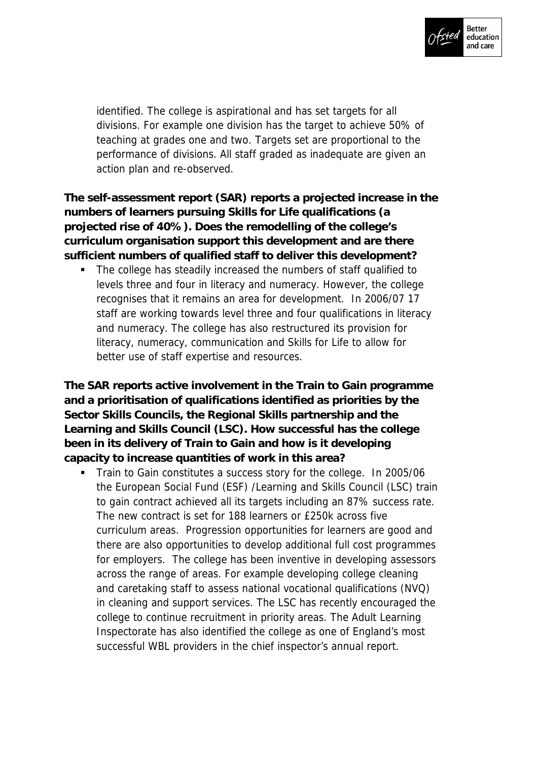

identified. The college is aspirational and has set targets for all divisions. For example one division has the target to achieve 50% of teaching at grades one and two. Targets set are proportional to the performance of divisions. All staff graded as inadequate are given an action plan and re-observed.

**The self-assessment report (SAR) reports a projected increase in the numbers of learners pursuing Skills for Life qualifications (a projected rise of 40%). Does the remodelling of the college's curriculum organisation support this development and are there sufficient numbers of qualified staff to deliver this development?**

• The college has steadily increased the numbers of staff qualified to levels three and four in literacy and numeracy. However, the college recognises that it remains an area for development. In 2006/07 17 staff are working towards level three and four qualifications in literacy and numeracy. The college has also restructured its provision for literacy, numeracy, communication and Skills for Life to allow for better use of staff expertise and resources.

**The SAR reports active involvement in the Train to Gain programme and a prioritisation of qualifications identified as priorities by the Sector Skills Councils, the Regional Skills partnership and the Learning and Skills Council (LSC). How successful has the college been in its delivery of Train to Gain and how is it developing capacity to increase quantities of work in this area?**

Train to Gain constitutes a success story for the college. In 2005/06 the European Social Fund (ESF) /Learning and Skills Council (LSC) train to gain contract achieved all its targets including an 87% success rate. The new contract is set for 188 learners or £250k across five curriculum areas. Progression opportunities for learners are good and there are also opportunities to develop additional full cost programmes for employers. The college has been inventive in developing assessors across the range of areas. For example developing college cleaning and caretaking staff to assess national vocational qualifications (NVQ) in cleaning and support services. The LSC has recently encouraged the college to continue recruitment in priority areas. The Adult Learning Inspectorate has also identified the college as one of England's most successful WBL providers in the chief inspector's annual report.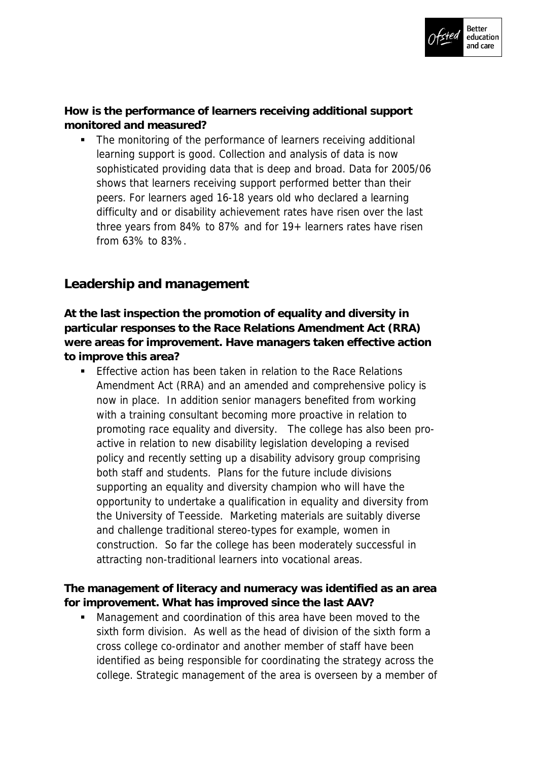

**How is the performance of learners receiving additional support monitored and measured?**

 The monitoring of the performance of learners receiving additional learning support is good. Collection and analysis of data is now sophisticated providing data that is deep and broad. Data for 2005/06 shows that learners receiving support performed better than their peers. For learners aged 16-18 years old who declared a learning difficulty and or disability achievement rates have risen over the last three years from 84% to 87% and for 19+ learners rates have risen from 63% to 83%.

## **Leadership and management**

**At the last inspection the promotion of equality and diversity in particular responses to the Race Relations Amendment Act (RRA) were areas for improvement. Have managers taken effective action to improve this area?**

**Effective action has been taken in relation to the Race Relations** Amendment Act (RRA) and an amended and comprehensive policy is now in place. In addition senior managers benefited from working with a training consultant becoming more proactive in relation to promoting race equality and diversity. The college has also been proactive in relation to new disability legislation developing a revised policy and recently setting up a disability advisory group comprising both staff and students. Plans for the future include divisions supporting an equality and diversity champion who will have the opportunity to undertake a qualification in equality and diversity from the University of Teesside. Marketing materials are suitably diverse and challenge traditional stereo-types for example, women in construction. So far the college has been moderately successful in attracting non-traditional learners into vocational areas.

**The management of literacy and numeracy was identified as an area for improvement. What has improved since the last AAV?** 

 Management and coordination of this area have been moved to the sixth form division. As well as the head of division of the sixth form a cross college co-ordinator and another member of staff have been identified as being responsible for coordinating the strategy across the college. Strategic management of the area is overseen by a member of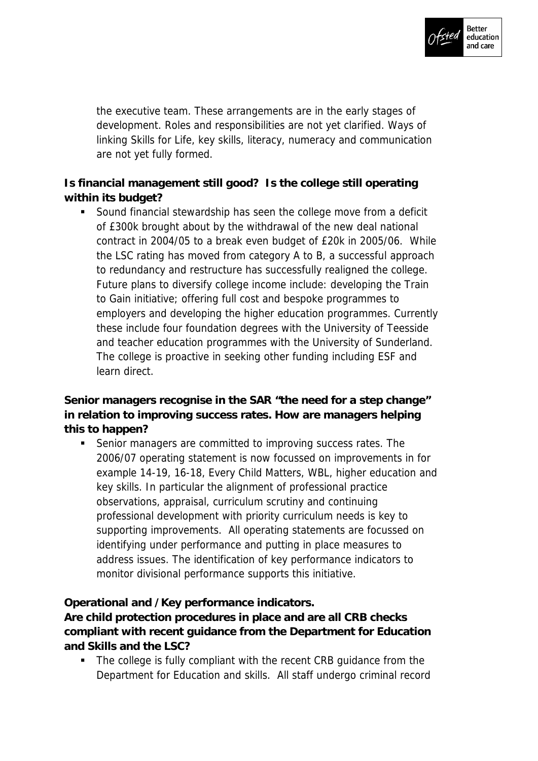

the executive team. These arrangements are in the early stages of development. Roles and responsibilities are not yet clarified. Ways of linking Skills for Life, key skills, literacy, numeracy and communication are not yet fully formed.

**Is financial management still good? Is the college still operating within its budget?**

 Sound financial stewardship has seen the college move from a deficit of £300k brought about by the withdrawal of the new deal national contract in 2004/05 to a break even budget of £20k in 2005/06. While the LSC rating has moved from category A to B, a successful approach to redundancy and restructure has successfully realigned the college. Future plans to diversify college income include: developing the Train to Gain initiative; offering full cost and bespoke programmes to employers and developing the higher education programmes. Currently these include four foundation degrees with the University of Teesside and teacher education programmes with the University of Sunderland. The college is proactive in seeking other funding including ESF and learn direct.

**Senior managers recognise in the SAR "the need for a step change" in relation to improving success rates. How are managers helping this to happen?**

 Senior managers are committed to improving success rates. The 2006/07 operating statement is now focussed on improvements in for example 14-19, 16-18, Every Child Matters, WBL, higher education and key skills. In particular the alignment of professional practice observations, appraisal, curriculum scrutiny and continuing professional development with priority curriculum needs is key to supporting improvements. All operating statements are focussed on identifying under performance and putting in place measures to address issues. The identification of key performance indicators to monitor divisional performance supports this initiative.

**Operational and /Key performance indicators.**

**Are child protection procedures in place and are all CRB checks compliant with recent guidance from the Department for Education and Skills and the LSC?**

• The college is fully compliant with the recent CRB guidance from the Department for Education and skills. All staff undergo criminal record